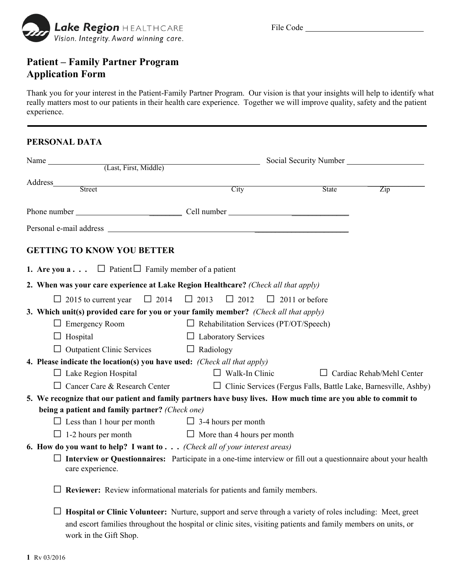

## **Patient – Family Partner Program Application Form**

Thank you for your interest in the Patient-Family Partner Program. Our vision is that your insights will help to identify what really matters most to our patients in their health care experience. Together we will improve quality, safety and the patient experience.

## **PERSONAL DATA**

| Street                                                                                                        | City                                                                                                                  | State | Zip                              |  |  |
|---------------------------------------------------------------------------------------------------------------|-----------------------------------------------------------------------------------------------------------------------|-------|----------------------------------|--|--|
|                                                                                                               |                                                                                                                       |       |                                  |  |  |
|                                                                                                               |                                                                                                                       |       |                                  |  |  |
| <b>GETTING TO KNOW YOU BETTER</b>                                                                             |                                                                                                                       |       |                                  |  |  |
| <b>1.</b> Are you $\mathbf{a} \cdot \cdot \cdot$ $\Box$ Patient $\Box$ Family member of a patient             |                                                                                                                       |       |                                  |  |  |
| 2. When was your care experience at Lake Region Healthcare? (Check all that apply)                            |                                                                                                                       |       |                                  |  |  |
| $\Box$ 2014<br>$\Box$ 2015 to current year                                                                    | $\Box$ 2013<br>$\Box$ 2012<br>$\Box$ 2011 or before                                                                   |       |                                  |  |  |
| 3. Which unit(s) provided care for you or your family member? (Check all that apply)                          |                                                                                                                       |       |                                  |  |  |
| $\Box$ Emergency Room                                                                                         | $\Box$ Rehabilitation Services (PT/OT/Speech)                                                                         |       |                                  |  |  |
| $\Box$ Hospital                                                                                               | $\Box$ Laboratory Services                                                                                            |       |                                  |  |  |
| $\Box$ Outpatient Clinic Services $\Box$ Radiology                                                            |                                                                                                                       |       |                                  |  |  |
| 4. Please indicate the location(s) you have used: (Check all that apply)                                      |                                                                                                                       |       |                                  |  |  |
| $\Box$ Lake Region Hospital                                                                                   | $\Box$ Walk-In Clinic                                                                                                 |       | $\Box$ Cardiac Rehab/Mehl Center |  |  |
| $\Box$ Cancer Care & Research Center                                                                          | □ Clinic Services (Fergus Falls, Battle Lake, Barnesville, Ashby)                                                     |       |                                  |  |  |
| 5. We recognize that our patient and family partners have busy lives. How much time are you able to commit to |                                                                                                                       |       |                                  |  |  |
| being a patient and family partner? (Check one)                                                               |                                                                                                                       |       |                                  |  |  |
| $\Box$ Less than 1 hour per month $\Box$ 3-4 hours per month                                                  |                                                                                                                       |       |                                  |  |  |
| $\Box$ 1-2 hours per month                                                                                    | $\Box$ More than 4 hours per month                                                                                    |       |                                  |  |  |
| 6. How do you want to help? I want to $\ldots$ (Check all of your interest areas)                             |                                                                                                                       |       |                                  |  |  |
| care experience.                                                                                              | $\Box$ Interview or Questionnaires: Participate in a one-time interview or fill out a questionnaire about your health |       |                                  |  |  |
|                                                                                                               | $\Box$ Reviewer: Review informational materials for patients and family members.                                      |       |                                  |  |  |
|                                                                                                               | Hospital or Clinic Volunteer: Nurture, support and serve through a variety of roles including: Meet, greet            |       |                                  |  |  |

and escort families throughout the hospital or clinic sites, visiting patients and family members on units, or

work in the Gift Shop.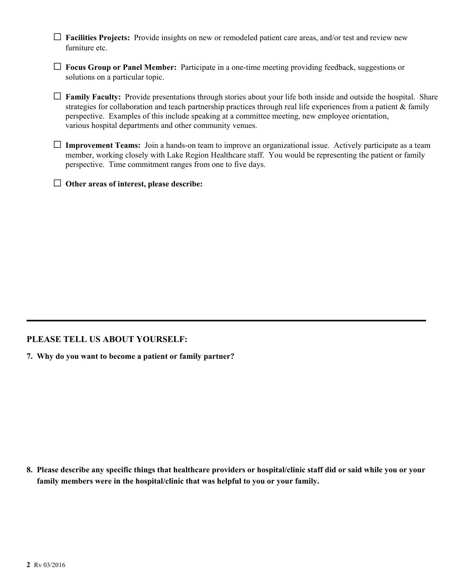- G **Facilities Projects:** Provide insights on new or remodeled patient care areas, and/or test and review new furniture etc.
- G **Focus Group or Panel Member:** Participate in a one-time meeting providing feedback, suggestions or solutions on a particular topic.
- G **Family Faculty:** Provide presentations through stories about your life both inside and outside the hospital. Share strategies for collaboration and teach partnership practices through real life experiences from a patient & family perspective. Examples of this include speaking at a committee meeting, new employee orientation, various hospital departments and other community venues.
- G **Improvement Teams:** Join a hands-on team to improve an organizational issue. Actively participate as a team member, working closely with Lake Region Healthcare staff. You would be representing the patient or family perspective. Time commitment ranges from one to five days.
- G **Other areas of interest, please describe:**

## **PLEASE TELL US ABOUT YOURSELF:**

**7. Why do you want to become a patient or family partner?** 

**8. Please describe any specific things that healthcare providers or hospital/clinic staff did or said while you or your family members were in the hospital/clinic that was helpful to you or your family.**